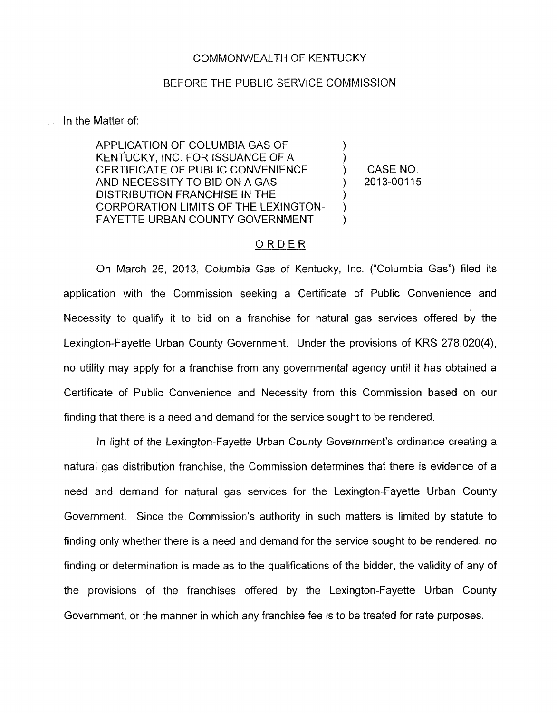## COMMONWEALTH OF KENTUCKY

## BEFORE THE PUBLIC SERVICE COMMISSION

## In the Matter of:

APPLICATION OF COLUMBIA GAS OF  $\mathcal{E}$ KENTUCKY, INC. FOR ISSUANCE OF A CERTIFICATE OF PUBLIC CONVENIENCE  $\mathcal{E}$ AND NECESSITY TO BID ON A GAS  $\lambda$ DISTRIBUTION FRANCHISE IN THE CORPORATION LIMITS OF THE LEXINGTON-FAYETTE URBAN COUNTY GOVERNMENT

CASE NO. 2013-00115

## ORDER

On March 26, 2013, Columbia Gas of Kentucky, Inc. ("Columbia Gas") filed its application with the Commission seeking a Certificate of Public Convenience and Necessity to qualify it to bid on a franchise for natural gas services offered by the Lexington-Fayette Urban County Government. Under the provisions of KRS 278.020(4), no utility may apply for a franchise from any governmental agency until it has obtained a Certificate of Public Convenience and Necessity from this Commission based on our finding that there is a need and demand for the service sought to be rendered.

In light of the Lexington-Fayette Urban County Government's ordinance creating a natural gas distribution franchise, the Commission determines that there is evidence of a need and demand for natural gas services for the Lexington-Fayette Urban County Government. Since the Commission's authority in such matters is limited by statute to finding only whether there is a need and demand for the service sought to be rendered, no finding or determination is made as to the qualifications of the bidder, the validity of any of the provisions of the franchises offered by the Lexington-Fayette Urban County Government, or the manner in which any franchise fee is to be treated for rate purposes.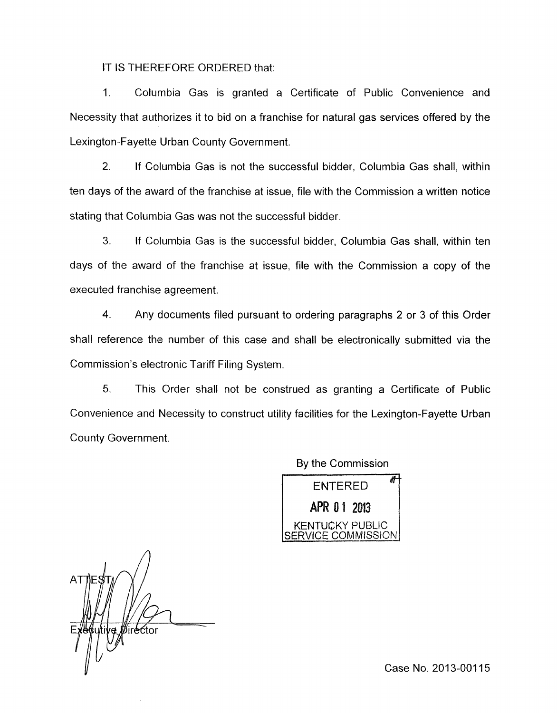IT IS THEREFORE ORDERED that:

1. Columbia Gas is granted a Certificate of Public Convenience and Necessity that authorizes it to bid on a franchise for natural gas services offered by the Lexington-Fayette Urban County Government.

2. If Columbia Gas is not the successful bidder, Columbia Gas shall, within ten days of the award of the franchise at issue, file with the Commission a written notice stating that Columbia Gas was not the successful bidder.

*3.* If Columbia Gas is the successful bidder, Columbia Gas shall, within ten days of the award of the franchise at issue, file with the Commission a copy of the executed franchise agreement.

**4.** Any documents filed pursuant to ordering paragraphs 2 or 3 of this Order shall reference the number of this case and shall be electronically submitted via the Commission's electronic Tariff Filing System.

*5.* This Order shall not be construed as granting a Certificate of Public Convenience and Necessity to construct utility facilities for the Lexington-Fayette Urban County Government.

> By the Commission **ENTERED** APR 01 2013 KENTUCKY PUBLIC

*Director* 

Case No. 2013-00115